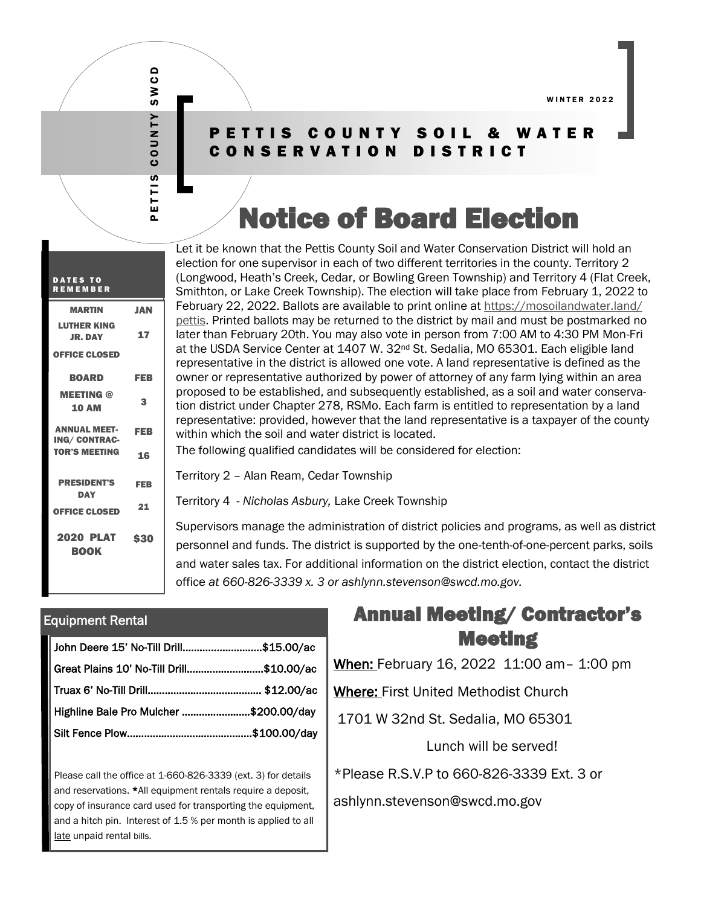# PETTIS COUNTY SWCD **COUNTY** ETTIS

SWCD

#### PETTIS COUNTY SOIL & WATER CONSERVATION DISTRICT

# Notice of Board Election

Let it be known that the Pettis County Soil and Water Conservation District will hold an election for one supervisor in each of two different territories in the county. Territory 2 (Longwood, Heath's Creek, Cedar, or Bowling Green Township) and Territory 4 (Flat Creek, Smithton, or Lake Creek Township). The election will take place from February 1, 2022 to February 22, 2022. Ballots are available to print online at https://mosoilandwater.land/ pettis. Printed ballots may be returned to the district by mail and must be postmarked no later than February 20th. You may also vote in person from 7:00 AM to 4:30 PM Mon-Fri at the USDA Service Center at 1407 W. 32nd St. Sedalia, MO 65301. Each eligible land representative in the district is allowed one vote. A land representative is defined as the owner or representative authorized by power of attorney of any farm lying within an area proposed to be established, and subsequently established, as a soil and water conservation district under Chapter 278, RSMo. Each farm is entitled to representation by a land representative: provided, however that the land representative is a taxpayer of the county within which the soil and water district is located.

The following qualified candidates will be considered for election:

Territory 2 – Alan Ream, Cedar Township

Territory 4 - *Nicholas Asbury,* Lake Creek Township

Supervisors manage the administration of district policies and programs, as well as district personnel and funds. The district is supported by the one-tenth-of-one-percent parks, soils and water sales tax. For additional information on the district election, contact the district office *at 660-826-3339 x. 3 or ashlynn.stevenson@swcd.mo.gov.* 

#### Equipment Rental

| John Deere 15' No-Till Drill\$15.00/ac   |  |
|------------------------------------------|--|
| Great Plains 10' No-Till Drill\$10.00/ac |  |
|                                          |  |
| Highline Bale Pro Mulcher \$200.00/day   |  |
|                                          |  |

Please call the office at 1-660-826-3339 (ext. 3) for details and reservations. \*All equipment rentals require a deposit, copy of insurance card used for transporting the equipment, and a hitch pin. Interest of 1.5 % per month is applied to all late unpaid rental bills.

### Annual Meeting/ Contractor's Meeting

When: February 16, 2022 11:00 am– 1:00 pm

Where: First United Methodist Church

1701 W 32nd St. Sedalia, MO 65301

Lunch will be served!

\*Please R.S.V.P to 660-826-3339 Ext. 3 or

ashlynn.stevenson@swcd.mo.gov

| <b>DATES TO</b><br><b>REMEMBER</b>          |            |
|---------------------------------------------|------------|
| <b>MARTIN</b>                               | <b>JAN</b> |
| <b>LUTHER KING</b><br><b>JR. DAY</b>        | 17         |
| <b>OFFICE CLOSED</b>                        |            |
| <b>BOARD</b>                                | <b>FEB</b> |
| <b>MEETING @</b><br><b>10 AM</b>            | 3          |
| <b>ANNUAL MEET-</b><br><b>ING/ CONTRAC-</b> | FEB        |
| <b>TOR'S MEETING</b>                        | 16         |
| <b>PRESIDENT'S</b><br><b>DAY</b>            | <b>FEB</b> |
| <b>OFFICE CLOSED</b>                        | 21         |
| 2020 PLAT<br><b>BOOK</b>                    | \$30       |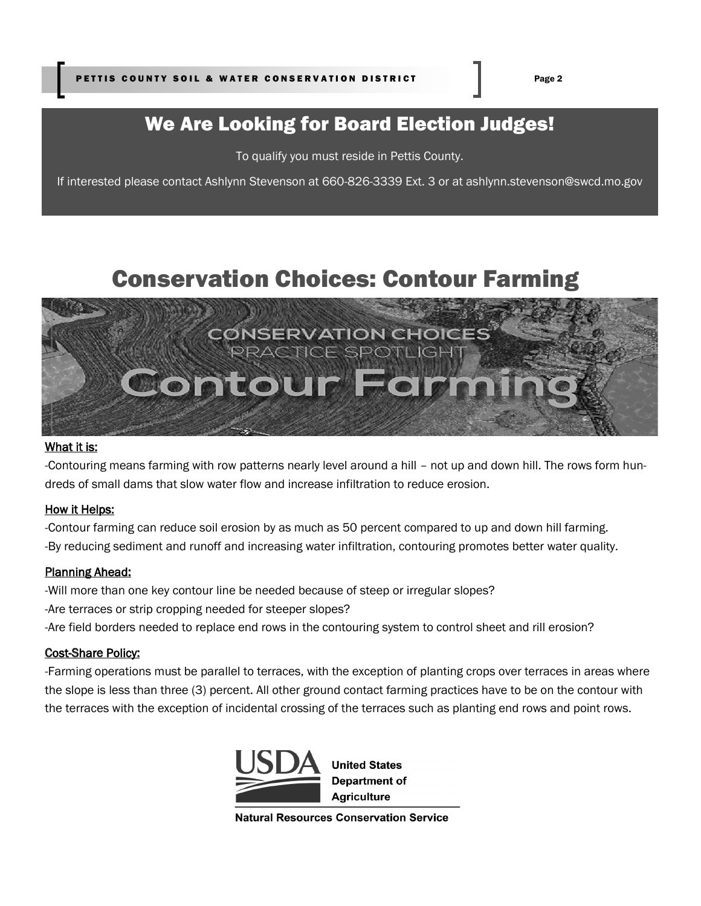# We Are Looking for Board Election Judges!

To qualify you must reside in Pettis County.

If interested please contact Ashlynn Stevenson at 660-826-3339 Ext. 3 or at ashlynn.stevenson@swcd.mo.gov

# Conservation Choices: Contour Farming



#### What it is:

-Contouring means farming with row patterns nearly level around a hill – not up and down hill. The rows form hundreds of small dams that slow water flow and increase infiltration to reduce erosion.

#### How it Helps:

-Contour farming can reduce soil erosion by as much as 50 percent compared to up and down hill farming. -By reducing sediment and runoff and increasing water infiltration, contouring promotes better water quality.

#### Planning Ahead:

-Will more than one key contour line be needed because of steep or irregular slopes? -Are terraces or strip cropping needed for steeper slopes? -Are field borders needed to replace end rows in the contouring system to control sheet and rill erosion?

#### Cost-Share Policy:

-Farming operations must be parallel to terraces, with the exception of planting crops over terraces in areas where the slope is less than three (3) percent. All other ground contact farming practices have to be on the contour with the terraces with the exception of incidental crossing of the terraces such as planting end rows and point rows.



**Natural Resources Conservation Service**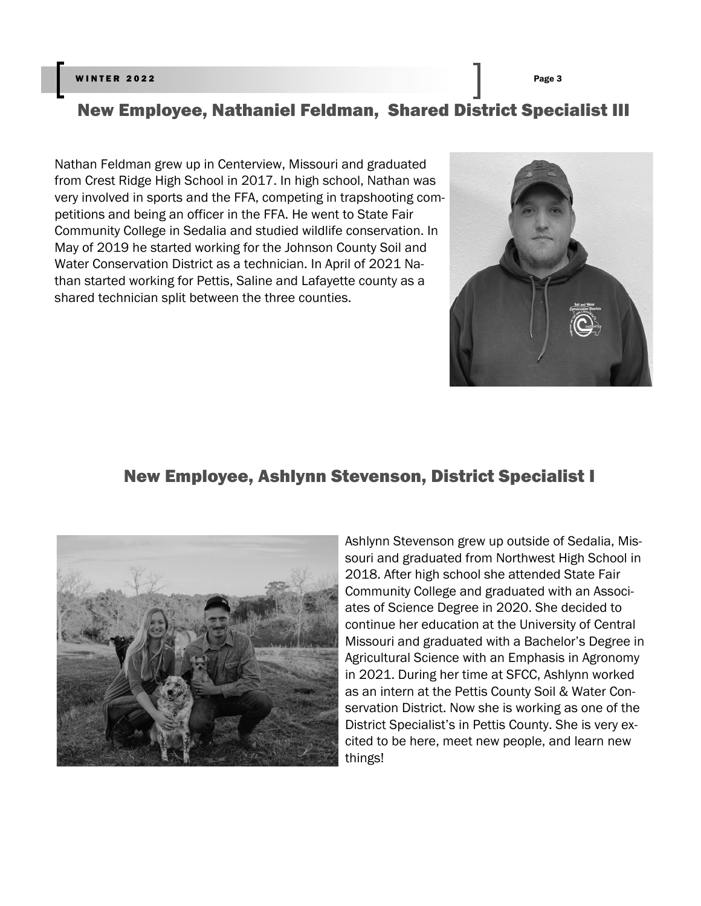#### winter 2022 Page 3 Page 3 Page 3 Page 3 Page 3 Page 3 Page 3 Page 3 Page 3 Page 3 Page 3 Page 3 Page 3 Page 3 Page 3

## New Employee, Nathaniel Feldman, Shared District Specialist III

Nathan Feldman grew up in Centerview, Missouri and graduated from Crest Ridge High School in 2017. In high school, Nathan was very involved in sports and the FFA, competing in trapshooting competitions and being an officer in the FFA. He went to State Fair Community College in Sedalia and studied wildlife conservation. In May of 2019 he started working for the Johnson County Soil and Water Conservation District as a technician. In April of 2021 Nathan started working for Pettis, Saline and Lafayette county as a shared technician split between the three counties.



#### New Employee, Ashlynn Stevenson, District Specialist I



Ashlynn Stevenson grew up outside of Sedalia, Missouri and graduated from Northwest High School in 2018. After high school she attended State Fair Community College and graduated with an Associates of Science Degree in 2020. She decided to continue her education at the University of Central Missouri and graduated with a Bachelor's Degree in Agricultural Science with an Emphasis in Agronomy in 2021. During her time at SFCC, Ashlynn worked as an intern at the Pettis County Soil & Water Conservation District. Now she is working as one of the District Specialist's in Pettis County. She is very excited to be here, meet new people, and learn new things!